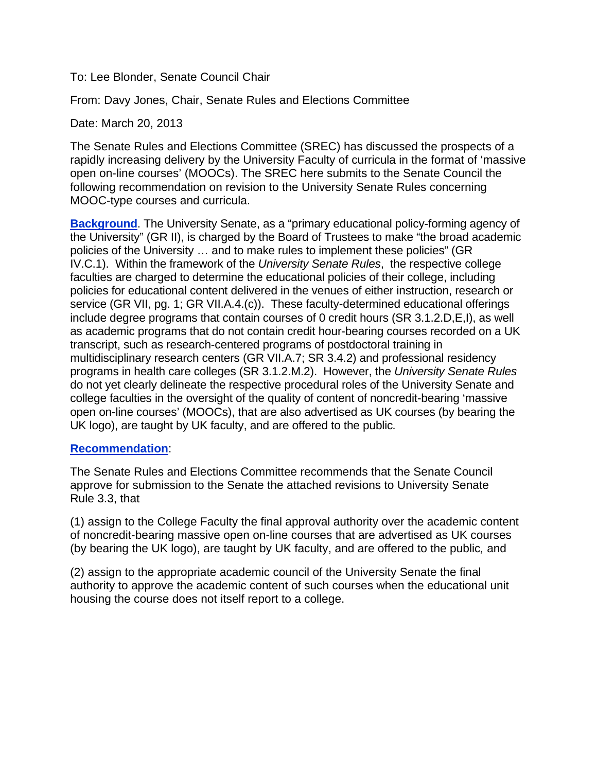To: Lee Blonder, Senate Council Chair

From: Davy Jones, Chair, Senate Rules and Elections Committee

Date: March 20, 2013

The Senate Rules and Elections Committee (SREC) has discussed the prospects of a rapidly increasing delivery by the University Faculty of curricula in the format of 'massive open on-line courses' (MOOCs). The SREC here submits to the Senate Council the following recommendation on revision to the University Senate Rules concerning MOOC-type courses and curricula.

**Background.** The University Senate, as a "primary educational policy-forming agency of the University" (GR II), is charged by the Board of Trustees to make "the broad academic policies of the University … and to make rules to implement these policies" (GR IV.C.1). Within the framework of the *University Senate Rules*, the respective college faculties are charged to determine the educational policies of their college, including policies for educational content delivered in the venues of either instruction, research or service (GR VII, pg. 1; GR VII.A.4.(c)). These faculty-determined educational offerings include degree programs that contain courses of 0 credit hours (SR 3.1.2.D,E,I), as well as academic programs that do not contain credit hour-bearing courses recorded on a UK transcript, such as research-centered programs of postdoctoral training in multidisciplinary research centers (GR VII.A.7; SR 3.4.2) and professional residency programs in health care colleges (SR 3.1.2.M.2). However, the *University Senate Rules* do not yet clearly delineate the respective procedural roles of the University Senate and college faculties in the oversight of the quality of content of noncredit-bearing 'massive open on-line courses' (MOOCs), that are also advertised as UK courses (by bearing the UK logo), are taught by UK faculty, and are offered to the public*.*

#### **Recommendation**:

The Senate Rules and Elections Committee recommends that the Senate Council approve for submission to the Senate the attached revisions to University Senate Rule 3.3, that

(1) assign to the College Faculty the final approval authority over the academic content of noncredit-bearing massive open on-line courses that are advertised as UK courses (by bearing the UK logo), are taught by UK faculty, and are offered to the public*,* and

(2) assign to the appropriate academic council of the University Senate the final authority to approve the academic content of such courses when the educational unit housing the course does not itself report to a college.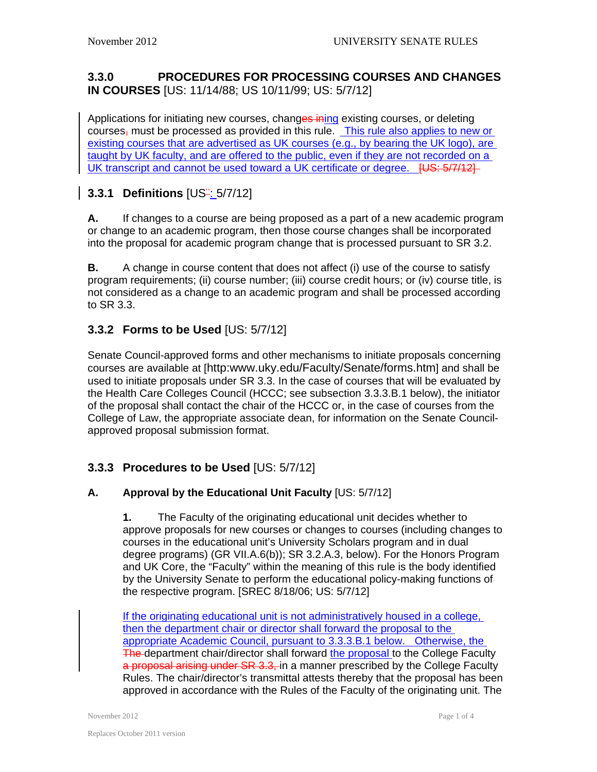### **3.3.0 PROCEDURES FOR PROCESSING COURSES AND CHANGES IN COURSES** [US: 11/14/88; US 10/11/99; US: 5/7/12]

Applications for initiating new courses, changes ining existing courses, or deleting courses, must be processed as provided in this rule. This rule also applies to new or existing courses that are advertised as UK courses (e.g., by bearing the UK logo), are taught by UK faculty, and are offered to the public, even if they are not recorded on a UK transcript and cannot be used toward a UK certificate or degree. [US: 5/7/12]

# **3.3.1 Definitions** [US¨: 5/7/12]

**A.** If changes to a course are being proposed as a part of a new academic program or change to an academic program, then those course changes shall be incorporated into the proposal for academic program change that is processed pursuant to SR 3.2.

**B.** A change in course content that does not affect (i) use of the course to satisfy program requirements; (ii) course number; (iii) course credit hours; or (iv) course title, is not considered as a change to an academic program and shall be processed according to SR 3.3.

## **3.3.2 Forms to be Used** [US: 5/7/12]

Senate Council-approved forms and other mechanisms to initiate proposals concerning courses are available at [\[http:www.uky.edu/Faculty/Senate/forms.htm\]](http://www.uky.edu/Faculty/Senate/forms.htm) and shall be used to initiate proposals under SR 3.3. In the case of courses that will be evaluated by the Health Care Colleges Council (HCCC; see subsection 3.3.3.B.1 below), the initiator of the proposal shall contact the chair of the HCCC or, in the case of courses from the College of Law, the appropriate associate dean, for information on the Senate Councilapproved proposal submission format.

# **3.3.3 Procedures to be Used** [US: 5/7/12]

#### **A. Approval by the Educational Unit Faculty** [US: 5/7/12]

**1.** The Faculty of the originating educational unit decides whether to approve proposals for new courses or changes to courses (including changes to courses in the educational unit's University Scholars program and in dual degree programs) (GR VII.A.6(b)); SR 3.2.A.3, below). For the Honors Program and UK Core, the "Faculty" within the meaning of this rule is the body identified by the University Senate to perform the educational policy-making functions of the respective program. [SREC 8/18/06; US: 5/7/12]

If the originating educational unit is not administratively housed in a college, then the department chair or director shall forward the proposal to the appropriate Academic Council, pursuant to 3.3.3.B.1 below. Otherwise, the **The department chair/director shall forward the proposal to the College Faculty** a proposal arising under SR 3.3, in a manner prescribed by the College Faculty Rules. The chair/director's transmittal attests thereby that the proposal has been approved in accordance with the Rules of the Faculty of the originating unit. The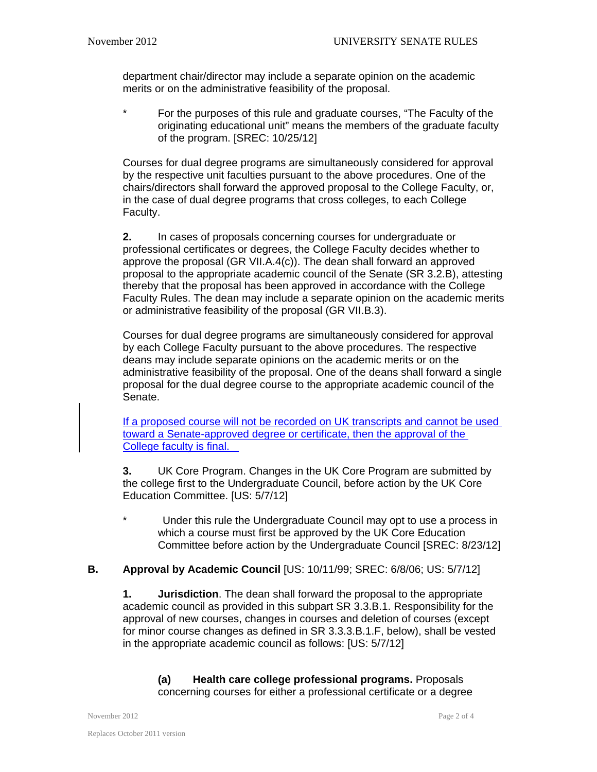department chair/director may include a separate opinion on the academic merits or on the administrative feasibility of the proposal.

\* For the purposes of this rule and graduate courses, "The Faculty of the originating educational unit" means the members of the graduate faculty of the program. [SREC: 10/25/12]

Courses for dual degree programs are simultaneously considered for approval by the respective unit faculties pursuant to the above procedures. One of the chairs/directors shall forward the approved proposal to the College Faculty, or, in the case of dual degree programs that cross colleges, to each College Faculty.

**2.** In cases of proposals concerning courses for undergraduate or professional certificates or degrees, the College Faculty decides whether to approve the proposal (GR VII.A.4(c)). The dean shall forward an approved proposal to the appropriate academic council of the Senate (SR 3.2.B), attesting thereby that the proposal has been approved in accordance with the College Faculty Rules. The dean may include a separate opinion on the academic merits or administrative feasibility of the proposal (GR VII.B.3).

Courses for dual degree programs are simultaneously considered for approval by each College Faculty pursuant to the above procedures. The respective deans may include separate opinions on the academic merits or on the administrative feasibility of the proposal. One of the deans shall forward a single proposal for the dual degree course to the appropriate academic council of the Senate.

If a proposed course will not be recorded on UK transcripts and cannot be used toward a Senate-approved degree or certificate, then the approval of the College faculty is final.

**3.** UK Core Program. Changes in the UK Core Program are submitted by the college first to the Undergraduate Council, before action by the UK Core Education Committee. [US: 5/7/12]

\* Under this rule the Undergraduate Council may opt to use a process in which a course must first be approved by the UK Core Education Committee before action by the Undergraduate Council [SREC: 8/23/12]

#### **B. Approval by Academic Council** [US: 10/11/99; SREC: 6/8/06; US: 5/7/12]

**1. Jurisdiction**. The dean shall forward the proposal to the appropriate academic council as provided in this subpart SR 3.3.B.1. Responsibility for the approval of new courses, changes in courses and deletion of courses (except for minor course changes as defined in SR 3.3.3.B.1.F, below), shall be vested in the appropriate academic council as follows: [US: 5/7/12]

**(a) Health care college professional programs.** Proposals concerning courses for either a professional certificate or a degree